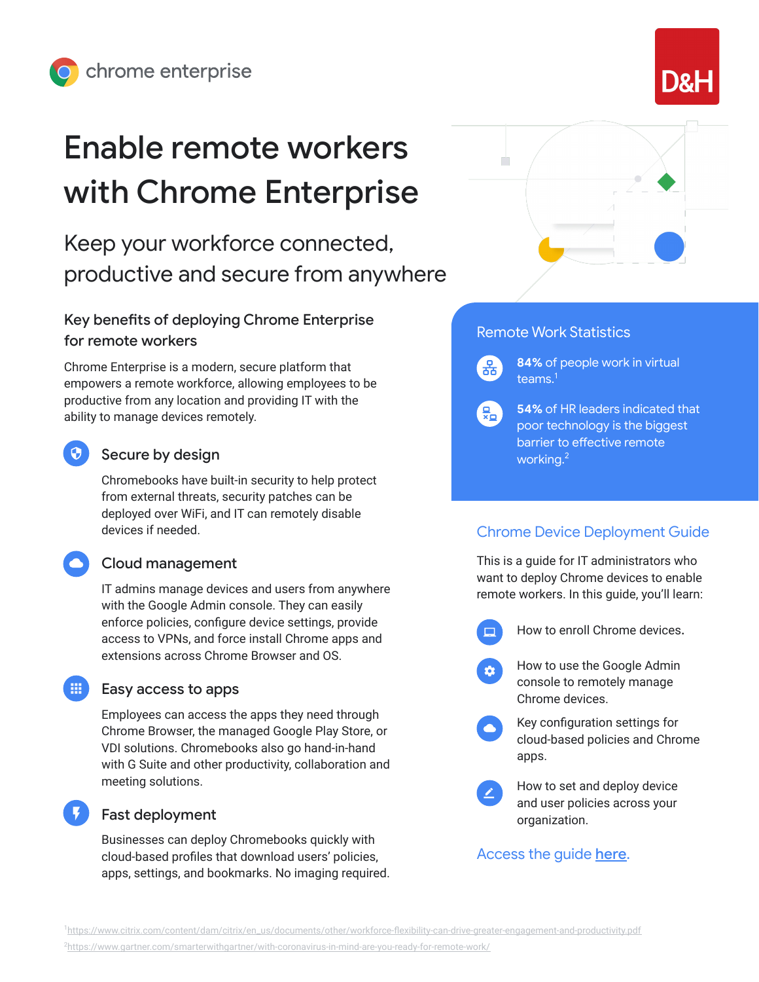# Enable remote workers with Chrome Enterprise

Keep your workforce connected, productive and secure from anywhere

## Key benefits of deploying Chrome Enterprise for remote workers

Chrome Enterprise is a modern, secure platform that empowers a remote workforce, allowing employees to be productive from any location and providing IT with the ability to manage devices remotely.

## Secure by design

Chromebooks have built-in security to help protect from external threats, security patches can be deployed over WiFi, and IT can remotely disable devices if needed.

### Cloud management

IT admins manage devices and users from anywhere with the Google Admin console. They can easily enforce policies, configure device settings, provide access to VPNs, and force install Chrome apps and extensions across Chrome Browser and OS.

### Easy access to apps

Employees can access the apps they need through Chrome Browser, the managed Google Play Store, or VDI solutions. Chromebooks also go hand-in-hand with G Suite and other productivity, collaboration and meeting solutions.

## Fast deployment

Businesses can deploy Chromebooks quickly with cloud-based profiles that download users' policies, apps, settings, and bookmarks. No imaging required.



## Remote Work Statistics

 $\left[\frac{D}{\sigma_{\rm B}}\right]$ 

**84%** of people work in virtual teams.<sup>1</sup>

**54%** of HR leaders indicated that  $\frac{1}{x_0}$ poor technology is the biggest barrier to effective remote working.2

## Chrome Device Deployment Guide

This is a guide for IT administrators who want to deploy Chrome devices to enable remote workers. In this guide, you'll learn:

- How to enroll Chrome devices.
- How to use the Google Admin  $\mathbf{\hat{a}}$ console to remotely manage Chrome devices.
	- Key configuration settings for cloud-based policies and Chrome apps.
	- How to set and deploy device and user policies across your organization.

## Access the guide [here](https://support.google.com/chrome/a/answer/6149448).

<sup>1</sup>[https://www.citrix.com/content/dam/citrix/en\\_us/documents/other/workforce-flexibility-can-drive-greater-engagement-and-productivity.pdf](https://www.citrix.com/content/dam/citrix/en_us/documents/other/workforce-flexibility-can-drive-greater-engagement-and-productivity.pdf)

2 <https://www.gartner.com/smarterwithgartner/with-coronavirus-in-mind-are-you-ready-for-remote-work/>